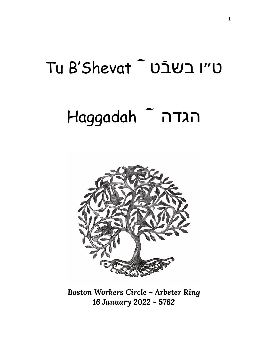# Tu B'Shevat ~ ט״ו בשֿבט

# Haggadah ~ הגדה



*Boston Workers Circle ~ Arbeter Ring 16 January 2022 ~ 5782*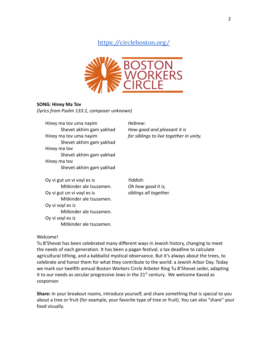<https://circleboston.org/>



# **SONG: Hiney Ma Tov**

*(lyrics from Psalm 133:1, composer unknown)*

Hiney ma tov uma nayim Shevet akhim gam yakhad Hiney ma tov uma nayim Shevet akhim gam yakhad Hiney ma tov Shevet akhim gam yakhad Hiney ma tov Shevet akhim gam yakhad *Hebrew: How good and pleasant it is for siblings to live together in unity.*

Oy vi gut un vi voyl es is Mitkinder ale tsuzamen. Oy vi gut un vi voyl es is Mitkinder ale tsuzamen. Oy vi voyl es iz Mitkinder ale tsuzamen. Oy vi voyl es iz Mitkinder ale tsuzamen.

*Yiddish: Oh how good it is, siblings all together.*

# Welcome!

Tu B'Shevat has been celebrated many different ways in Jewish history, changing to meet the needs of each generation. It has been a pagan festival, a tax deadline to calculate agricultural tithing, and a kabbalist mystical observance. But it's always about the trees, to celebrate and honor them for what they contribute to the world: a Jewish Arbor Day. Today we mark our twelfth annual Boston Workers Circle Arbeter Ring Tu B'Shevat seder, adapting it to our needs as secular progressive Jews in the  $21<sup>st</sup>$  century. We welcome Kavod as cosponsor.

**Share:** In your breakout rooms, introduce yourself, and share something that is special to you about a tree or fruit (for example, your favorite type of tree or fruit). You can also "share" your food visually.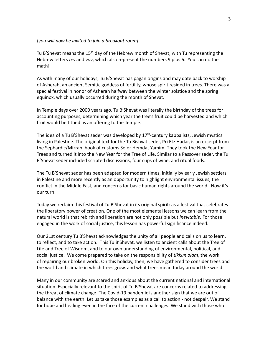#### *[you will now be invited to join a breakout room]*

Tu B'Shevat means the  $15<sup>th</sup>$  day of the Hebrew month of Shevat, with Tu representing the Hebrew letters *tes* and *vov*, which also represent the numbers 9 plus 6. You can do the math!

As with many of our holidays, Tu B'Shevat has pagan origins and may date back to worship of Asherah, an ancient Semitic goddess of fertility, whose spirit resided in trees. There was a special festival in honor of Asherah halfway between the winter solstice and the spring equinox, which usually occurred during the month of Shevat.

In Temple days over 2000 years ago, Tu B'Shevat was literally the birthday of the trees for accounting purposes, determining which year the tree's fruit could be harvested and which fruit would be tithed as an offering to the Temple.

The idea of a Tu B'Shevat seder was developed by  $17<sup>th</sup>$ -century kabbalists, Jewish mystics living in Palestine. The original text for the Tu Bishvat seder, Pri Etz Hadar, is an excerpt from the Sephardic/Mizrahi book of customs Sefer Hemdat Yamim. They took the New Year for Trees and turned it into the New Year for the Tree of Life. Similar to a Passover seder, the Tu B'Shevat seder included scripted discussions, four cups of wine, and ritual foods.

The Tu B'Shevat seder has been adapted for modern times, initially by early Jewish settlers in Palestine and more recently as an opportunity to highlight environmental issues, the conflict in the Middle East, and concerns for basic human rights around the world. Now it's our turn.

Today we reclaim this festival of Tu B'Shevat in its original spirit: as a festival that celebrates the liberatory power of creation. One of the most elemental lessons we can learn from the natural world is that rebirth and liberation are not only possible but *inevitable*. For those engaged in the work of social justice, this lesson has powerful significance indeed.

Our 21st century Tu B'Shevat acknowledges the unity of all people and calls on us to learn, to reflect, and to take action. This Tu B'Shevat, we listen to ancient calls about the Tree of Life and Tree of Wisdom, and to our own understanding of environmental, political, and social justice. We come prepared to take on the responsibility of *tikkun olam*, the work of repairing our broken world. On this holiday, then, we have gathered to consider trees and the world and climate in which trees grow, and what trees mean today around the world.

Many in our community are scared and anxious about the current national and international situation. Especially relevant to the spirit of Tu B'Shevat are concerns related to addressing the threat of climate change. The Covid-19 pandemic is another sign that we are out of balance with the earth. Let us take those examples as a call to action - not despair. We stand for hope and healing even in the face of the current challenges. We stand with those who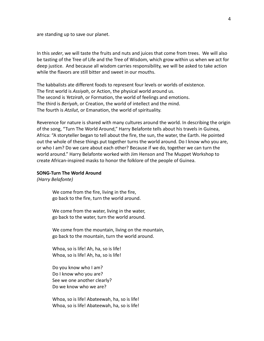are standing up to save our planet.

In this *seder*, we will taste the fruits and nuts and juices that come from trees. We will also be tasting of the Tree of Life and the Tree of Wisdom, which grow within us when we act for deep justice. And because all wisdom carries responsibility, we will be asked to take action while the flavors are still bitter and sweet in our mouths.

The kabbalists ate different foods to represent four levels or worlds of existence. The first world is *Assiyah*, or Action, the physical world around us. The second is *Yetzirah*, or Formation, the world of feelings and emotions. The third is *Beriyah*, or Creation, the world of intellect and the mind. The fourth is *Atzilut*, or Emanation, the world of spirituality.

Reverence for nature is shared with many cultures around the world. In describing the origin of the song, "Turn The World Around," Harry Belafonte tells about his travels in Guinea, Africa: "A storyteller began to tell about the fire, the sun, the water, the Earth. He pointed out the whole of these things put together turns the world around. Do I know who you are, or who I am? Do we care about each other? Because if we do, together we can turn the world around." Harry Belafonte worked with Jim Henson and The Muppet Workshop to create African-inspired masks to honor the folklore of the people of Guinea.

# **SONG-Turn The World Around**

*(Harry Belafonte)*

We come from the fire, living in the fire, go back to the fire, turn the world around.

We come from the water, living in the water, go back to the water, turn the world around.

We come from the mountain, living on the mountain, go back to the mountain, turn the world around.

Whoa, so is life! Ah, ha, so is life! Whoa, so is life! Ah, ha, so is life!

Do you know who I am? Do I know who you are? See we one another clearly? Do we know who we are?

Whoa, so is life! Abateewah, ha, so is life! Whoa, so is life! Abateewah, ha, so is life!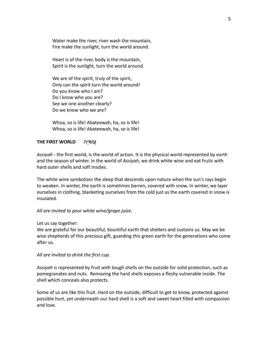Water make the river, river wash the mountain, Fire make the sunlight, turn the world around.

Heart is of the river, body is the mountain, Spirit is the sunlight, turn the world around.

We are of the spirit, truly of the spirit, Only can the spirit turn the world around! Do you know who I am? Do I know who you are? See we one another clearly? Do we know who we are?

Whoa, so is life! Abateewah, ha, so is life! Whoa, so is life! Abateewah, ha, so is life!

# **ֲעִׂשיָה WORLD FIRST THE**

*Assiyah* - the first world, is the world of action. It is the physical world represented by earth and the season of winter. In the world of *Assiyah*, we drink white wine and eat fruits with hard outer shells and soft insides.

The white wine symbolizes the sleep that descends upon nature when the sun's rays begin to weaken. In winter, the earth is sometimes barren, covered with snow. In winter, we layer ourselves in clothing, blanketing ourselves from the cold just as the earth covered in snow is insulated.

#### *All are invited to pour white wine/grape juice.*

#### Let us say together:

We are grateful for our beautiful, bountiful earth that shelters and sustains us. May we be wise shepherds of this precious gift, guarding this green earth for the generations who come after us.

#### *All are invited to drink the first cup.*

*Assiyah* is represented by fruit with tough shells on the outside for solid protection, such as pomegranates and nuts. Removing the hard shells exposes a fleshy vulnerable inside. The shell which conceals also protects.

Some of us are like this fruit. Hard on the outside, difficult to get to know, protected against possible hurt, yet underneath our hard shell is a soft and sweet heart filled with compassion and love.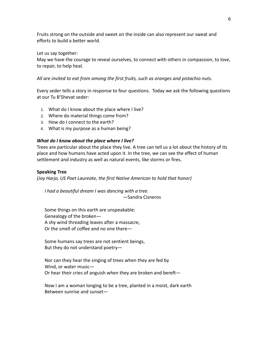Fruits strong on the outside and sweet on the inside can also represent our sweat and efforts to build a better world.

#### Let us say together:

May we have the courage to reveal ourselves, to connect with others in compassion, to love, to repair, to help heal.

#### *All are invited to eat from among the first fruits, such as oranges and pistachio nuts.*

Every seder tells a story in response to four questions. Today we ask the following questions at our Tu B'Shevat seder:

- 1. What do I know about the place where I live?
- 2. Where do material things come from?
- 3. How do I connect to the earth?
- 4. What is my purpose as a human being?

#### *What do I know about the place where I live?*

Trees are particular about the place they live. A tree can tell us a lot about the history of its place and how humans have acted upon it. In the tree, we can see the effect of human settlement and industry as well as natural events, like storms or fires.

#### **Speaking Tree**

*(Joy Harjo, US Poet Laureate, the first Native American to hold that honor)*

*I had a beautiful dream I was dancing with a tree.* —Sandra Cisneros

Some things on this earth are unspeakable: Genealogy of the broken— A shy wind threading leaves after a massacre, Or the smell of coffee and no one there—

Some humans say trees are not sentient beings, But they do not understand poetry—

Nor can they hear the singing of trees when they are fed by Wind, or water music— Or hear their cries of anguish when they are broken and bereft—

Now I am a woman longing to be a tree, planted in a moist, dark earth Between sunrise and sunset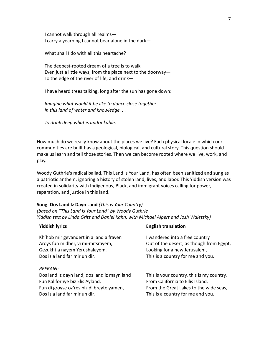I cannot walk through all realms— I carry a yearning I cannot bear alone in the dark—

What shall I do with all this heartache?

The deepest-rooted dream of a tree is to walk Even just a little ways, from the place next to the doorway— To the edge of the river of life, and drink—

I have heard trees talking, long after the sun has gone down:

*Imagine what would it be like to dance close together In this land of water and knowledge. . .*

*To drink deep what is undrinkable.*

How much do we really know about the places we live? Each physical locale in which our communities are built has a geological, biological, and cultural story. This question should make us learn and tell those stories. Then we can become rooted where we live, work, and play.

Woody Guthrie's radical ballad, This Land is Your Land, has often been sanitized and sung as a patriotic anthem, ignoring a history of stolen land, lives, and labor. This Yiddish version was created in solidarity with Indigenous, Black, and immigrant voices calling for power, reparation, and justice in this land.

#### **Song**: **Dos Land Iz Dayn Land** *(This is Your Country)*

*(based on "This Land Is Your Land" by Woody Guthrie Yiddish text by Linda Gritz and Daniel Kahn, with Michael Alpert and Josh Waletzky)*

| <b>Yiddish lyrics</b>                                                                                                                                                                   | <b>English translation</b>                                                                                                                                   |
|-----------------------------------------------------------------------------------------------------------------------------------------------------------------------------------------|--------------------------------------------------------------------------------------------------------------------------------------------------------------|
| Kh'hob mir gevandert in a land a frayen<br>Aroys fun midber, vi mi-mitsrayem,<br>Gezukht a nayem Yerushalayem,<br>Dos iz a land far mir un dir.                                         | I wandered into a free country<br>Out of the desert, as though from Egypt,<br>Looking for a new Jerusalem,<br>This is a country for me and you.              |
| <i><b>REFRAIN:</b></i><br>Dos land iz dayn land, dos land iz mayn land<br>Fun Kalifornye biz Elis Ayland,<br>Fun di groyse oz'res biz di breyte yamen,<br>Dos iz a land far mir un dir. | This is your country, this is my country,<br>From California to Ellis Island,<br>From the Great Lakes to the wide seas,<br>This is a country for me and you. |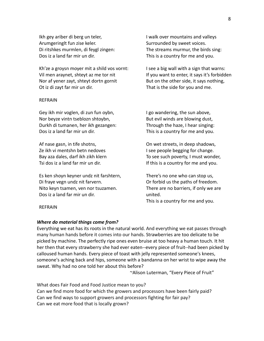Ikh gey ariber di berg un teler, Arumgeringlt fun zise keler. Di ritshkes murmlen, di feygl zingen: Dos iz a land far mir un dir.

Kh'ze a groysn moyer mit a shild vos vornt: Vil men araynet, shteyt az me tor nit Nor af yener zayt, shteyt dortn gornit Ot iz di zayt far mir un dir.

#### REFRAIN

Gey ikh mir voglen, di zun fun oybn, Nor beyze vintn tseblozn shtoybn, Durkh di tumanen, her ikh gezangen: Dos iz a land far mir un dir.

Af nase gasn, in tife shotns, Ze ikh vi mentshn betn nedoves Bay aza dales, darf ikh zikh klern Tsi dos iz a land far mir un dir.

Es ken shoyn keyner undz nit farshtern, Di fraye vegn undz nit farvern. Nito keyn tsamen, ven nor tsuzamen. Dos iz a land far mir un dir.

REFRAIN

#### *Where do material things come from?*

I walk over mountains and valleys Surrounded by sweet voices. The streams murmur, the birds sing: This is a country for me and you.

I see a big wall with a sign that warns: If you want to enter, it says it's forbidden But on the other side, it says nothing, That is the side for you and me.

I go wandering, the sun above, But evil winds are blowing dust, Through the haze, I hear singing: This is a country for me and you.

On wet streets, in deep shadows, I see people begging for change. To see such poverty, I must wonder, If this is a country for me and you.

There's no one who can stop us, Or forbid us the paths of freedom. There are no barriers, if only we are united.

This is a country for me and you.

Everything we eat has its roots in the natural world. And everything we eat passes through many human hands before it comes into our hands. Strawberries are too delicate to be picked by machine. The perfectly ripe ones even bruise at too heavy a human touch. It hit her then that every strawberry she had ever eaten--every piece of fruit--had been picked by calloused human hands. Every piece of toast with jelly represented someone's knees, someone's aching back and hips, someone with a bandanna on her wrist to wipe away the sweat. Why had no one told her about this before?

~Alison Luterman, "Every Piece of Fruit"

What does Fair Food and Food Justice mean to you? Can we find more food for which the growers and processors have been fairly paid? Can we find ways to support growers and processors fighting for fair pay? Can we eat more food that is locally grown?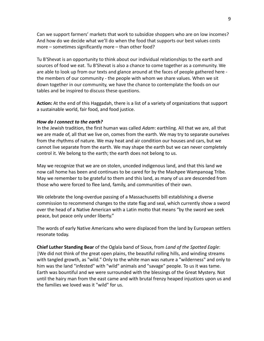Can we support farmers' markets that work to subsidize shoppers who are on low incomes? And how do we decide what we'll do when the food that supports our best values costs more – sometimes significantly more – than other food?

Tu B'Shevat is an opportunity to think about our individual relationships to the earth and sources of food we eat. Tu B'Shevat is also a chance to come together as a community. We are able to look up from our texts and glance around at the faces of people gathered here the members of our community - the people with whom we share values. When we sit down together in our community, we have the chance to contemplate the foods on our tables and be inspired to discuss these questions.

**Action:** At the end of this Haggadah, there is a list of a variety of organizations that support a sustainable world, fair food, and food justice.

# *How do I connect to the earth?*

In the Jewish tradition, the first human was called *Adam*: earthling. All that we are, all that we are made of, all that we live on, comes from the earth. We may try to separate ourselves from the rhythms of nature. We may heat and air condition our houses and cars, but we cannot live separate from the earth. We may shape the earth but we can never completely control it. We belong to the earth; the earth does not belong to us.

May we recognize that we are on stolen, unceded indigenous land, and that this land we now call home has been and continues to be cared for by the Mashpee Wampanoag Tribe. May we remember to be grateful to them and this land, as many of us are descended from those who were forced to flee land, family, and communities of their own.

We celebrate the long-overdue passing of a Massachusetts bill establishing a diverse commission to recommend changes to the state flag and seal, which currently show a sword over the head of a Native American with a Latin motto that means "by the sword we seek peace, but peace only under liberty."

The words of early Native Americans who were displaced from the land by European settlers resonate today.

**Chief Luther Standing Bear** of the Oglala band of Sioux, from *Land of the Spotted Eagle*: |We did not think of the great open plains, the beautiful rolling hills, and winding streams with tangled growth, as "wild." Only to the white man was nature a "wilderness" and only to him was the land "infested" with "wild" animals and "savage" people. To us it was tame. Earth was bountiful and we were surrounded with the blessings of the Great Mystery. Not until the hairy man from the east came and with brutal frenzy heaped injustices upon us and the families we loved was it "wild" for us.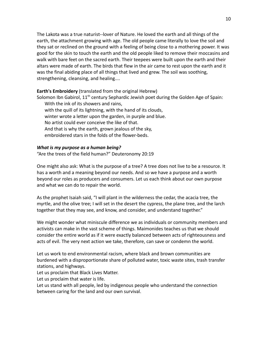The Lakota was a true naturist--lover of Nature. He loved the earth and all things of the earth, the attachment growing with age. The old people came literally to love the soil and they sat or reclined on the ground with a feeling of being close to a mothering power. It was good for the skin to touch the earth and the old people liked to remove their moccasins and walk with bare feet on the sacred earth. Their teepees were built upon the earth and their altars were made of earth. The birds that flew in the air came to rest upon the earth and it was the final abiding place of all things that lived and grew. The soil was soothing, strengthening, cleansing, and healing....

**Earth's Embroidery** (translated from the original Hebrew)

Solomon Ibn Gabirol,  $11<sup>th</sup>$  century Sephardic Jewish poet during the Golden Age of Spain: With the ink of its showers and rains, with the quill of its lightning, with the hand of its clouds, winter wrote a letter upon the garden, in purple and blue. No artist could ever conceive the like of that. And that is why the earth, grown jealous of the sky, embroidered stars in the folds of the flower-beds.

# *What is my purpose as a human being?*

"Are the trees of the field human?" Deuteronomy 20:19

One might also ask: What is the purpose of a tree? A tree does not live to be a resource. It has a worth and a meaning beyond our needs. And so we have a purpose and a worth beyond our roles as producers and consumers. Let us each think about our own purpose and what we can do to repair the world.

As the prophet Isaiah said, "I will plant in the wilderness the cedar, the acacia tree, the myrtle, and the olive tree; I will set in the desert the cypress, the plane tree, and the larch together that they may see, and know, and consider, and understand together."

We might wonder what miniscule difference we as individuals or community members and activists can make in the vast scheme of things. Maimonides teaches us that we should consider the entire world as if it were exactly balanced between acts of righteousness and acts of evil. The very next action we take, therefore, can save or condemn the world.

Let us work to end environmental racism, where black and brown communities are burdened with a disproportionate share of polluted water, toxic waste sites, trash transfer stations, and highways.

Let us proclaim that Black Lives Matter.

Let us proclaim that water is life.

Let us stand with all people, led by indigenous people who understand the connection between caring for the land and our own survival.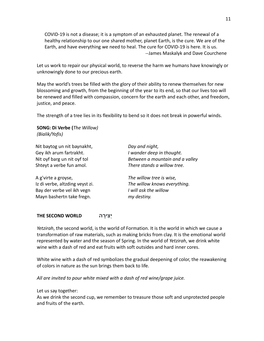COVID-19 is not a disease; it is a symptom of an exhausted planet. The renewal of a healthy relationship to our one shared mother, planet Earth, is the cure. We are of the Earth, and have everything we need to heal. The cure for COVID-19 is here. It is us. --James Maskalyk and Dave Courchene

Let us work to repair our physical world, to reverse the harm we humans have knowingly or unknowingly done to our precious earth.

May the world's trees be filled with the glory of their ability to renew themselves for new blossoming and growth, from the beginning of the year to its end, so that our lives too will be renewed and filled with compassion, concern for the earth and each other, and freedom, justice, and peace.

The strength of a tree lies in its flexibility to bend so it does not break in powerful winds.

**SONG: Di Verbe (***The Willow) (Bialik/Yofis)*

| Day and night,                  |
|---------------------------------|
| I wander deep in thought.       |
| Between a mountain and a valley |
| There stands a willow tree.     |
| The willow tree is wise,        |
| The willow knows everything.    |
| I will ask the willow           |
| my destiny.                     |
|                                 |

# **יְ ִציָרה WORLD SECOND THE**

*Yetzirah*, the second world, is the world of Formation. It is the world in which we cause a transformation of raw materials, such as making bricks from clay. It is the emotional world represented by water and the season of Spring. In the world of *Yetzirah*, we drink white wine with a dash of red and eat fruits with soft outsides and hard inner cores.

White wine with a dash of red symbolizes the gradual deepening of color, the reawakening of colors in nature as the sun brings them back to life.

*All are invited to pour white mixed with a dash of red wine/grape juice.*

Let us say together:

As we drink the second cup, we remember to treasure those soft and unprotected people and fruits of the earth.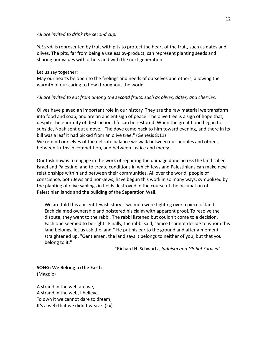#### *All are invited to drink the second cup.*

*Yetzirah* is represented by fruit with pits to protect the heart of the fruit, such as dates and olives. The pits, far from being a useless by-product, can represent planting seeds and sharing our values with others and with the next generation.

#### Let us say together:

May our hearts be open to the feelings and needs of ourselves and others, allowing the warmth of our caring to flow throughout the world.

# *All are invited to eat from among the second fruits, such as olives, dates, and cherries.*

Olives have played an important role in our history. They are the raw material we transform into food and soap, and are an ancient sign of peace. The olive tree is a sign of hope that, despite the enormity of destruction, life can be restored. When the great flood began to subside, Noah sent out a dove. "The dove came back to him toward evening, and there in its bill was a leaf it had picked from an olive tree." (Genesis 8:11) We remind ourselves of the delicate balance we walk between our peoples and others, between truths in competition, and between justice and mercy.

Our task now is to engage in the work of repairing the damage done across the land called Israel and Palestine, and to create conditions in which Jews and Palestinians can make new relationships within and between their communities. All over the world, people of conscience, both Jews and non-Jews, have begun this work in so many ways, symbolized by the planting of olive saplings in fields destroyed in the course of the occupation of Palestinian lands and the building of the Separation Wall.

We are told this ancient Jewish story: Two men were fighting over a piece of land. Each claimed ownership and bolstered his claim with apparent proof. To resolve the dispute, they went to the rabbi. The rabbi listened but couldn't come to a decision. Each one seemed to be right. Finally, the rabbi said, "Since I cannot decide to whom this land belongs, let us ask the land." He put his ear to the ground and after a moment straightened up. "Gentlemen, the land says it belongs to neither of you, but that you belong to it."

~Richard H. Schwartz, *Judaism and Global Survival*

**SONG: We Belong to the Earth** (Magpie)

A strand in the web are we, A strand in the web, I believe. To own it we cannot dare to dream, It's a web that we didn't weave. (2x)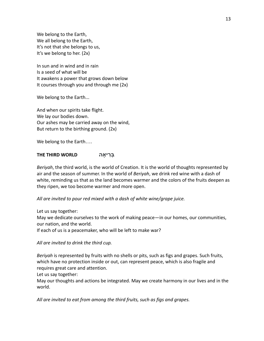We belong to the Earth, We all belong to the Earth, It's not that she belongs to us, It's we belong to her. (2x)

In sun and in wind and in rain Is a seed of what will be It awakens a power that grows down below It courses through you and through me (2x)

We belong to the Earth...

And when our spirits take flight. We lay our bodies down. Our ashes may be carried away on the wind, But return to the birthing ground. (2x)

We belong to the Earth….

# **ְּב ִריָאה WORLD THIRD THE**

*Beriyah*, the third world, is the world of Creation. It is the world of thoughts represented by air and the season of summer. In the world of *Beriyah*, we drink red wine with a dash of white, reminding us that as the land becomes warmer and the colors of the fruits deepen as they ripen, we too become warmer and more open.

*All are invited to pour red mixed with a dash of white wine/grape juice.*

Let us say together:

May we dedicate ourselves to the work of making peace—in our homes, our communities, our nation, and the world.

If each of us is a peacemaker, who will be left to make war?

*All are invited to drink the third cup.*

*Beriyah* is represented by fruits with no shells or pits, such as figs and grapes. Such fruits, which have no protection inside or out, can represent peace, which is also fragile and requires great care and attention.

Let us say together:

May our thoughts and actions be integrated. May we create harmony in our lives and in the world.

*All are invited to eat from among the third fruits, such as figs and grapes.*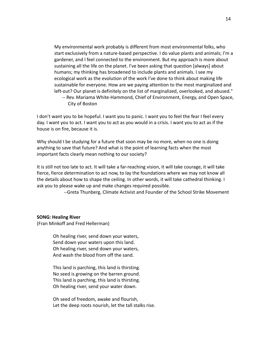My environmental work probably is different from most environmental folks, who start exclusively from a nature-based perspective. I do value plants and animals; I'm a gardener, and I feel connected to the environment. But my approach is more about sustaining all the life on the planet. I've been asking that question [always] about humans; my thinking has broadened to include plants and animals. I see my ecological work as the evolution of the work I've done to think about making life sustainable for everyone. How are we paying attention to the most marginalized and left-out? Our planet is definitely on the list of marginalized, overlooked, and abused." -- Rev. Mariama White-Hammond, Chief of Environment, Energy, and Open Space,

City of Boston

I don't want you to be hopeful. I want you to panic. I want you to feel the fear I feel every day. I want you to act. I want you to act as you would in a crisis. I want you to act as if the house is on fire, because it is.

Why should I be studying for a future that soon may be no more, when no one is doing anything to save that future? And what is the point of learning facts when the most important facts clearly mean nothing to our society?

It is still not too late to act. It will take a far-reaching vision, it will take courage, it will take fierce, fierce determination to act now, to lay the foundations where we may not know all the details about how to shape the ceiling. In other words, it will take cathedral thinking. I ask you to please wake up and make changes required possible.

--Greta Thunberg, Climate Activist and Founder of the School Strike Movement

#### **SONG: Healing River**

(Fran Minkoff and Fred Hellerman)

Oh healing river, send down your waters, Send down your waters upon this land. Oh healing river, send down your waters, And wash the blood from off the sand.

This land is parching, this land is thirsting. No seed is growing on the barren ground. This land is parching, this land is thirsting. Oh healing river, send your water down.

Oh seed of freedom, awake and flourish, Let the deep roots nourish, let the tall stalks rise.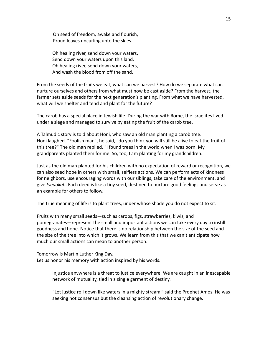Oh seed of freedom, awake and flourish, Proud leaves uncurling unto the skies.

Oh healing river, send down your waters, Send down your waters upon this land. Oh healing river, send down your waters, And wash the blood from off the sand.

From the seeds of the fruits we eat, what can we harvest? How do we separate what can nurture ourselves and others from what must now be cast aside? From the harvest, the farmer sets aside seeds for the next generation's planting. From what we have harvested, what will we shelter and tend and plant for the future?

The carob has a special place in Jewish life. During the war with Rome, the Israelites lived under a siege and managed to survive by eating the fruit of the carob tree.

A Talmudic story is told about Honi, who saw an old man planting a carob tree. Honi laughed. "Foolish man", he said, "do you think you will still be alive to eat the fruit of this tree?" The old man replied, "I found trees in the world when I was born. My grandparents planted them for me. So, too, I am planting for my grandchildren."

Just as the old man planted for his children with no expectation of reward or recognition, we can also seed hope in others with small, selfless actions. We can perform acts of kindness for neighbors, use encouraging words with our siblings, take care of the environment, and give *tsedokah*. Each deed is like a tiny seed, destined to nurture good feelings and serve as an example for others to follow.

The true meaning of life is to plant trees, under whose shade you do not expect to sit.

Fruits with many small seeds—such as carobs, figs, strawberries, kiwis, and pomegranates—represent the small and important actions we can take every day to instill goodness and hope. Notice that there is no relationship between the size of the seed and the size of the tree into which it grows. We learn from this that we can't anticipate how much our small actions can mean to another person.

Tomorrow is Martin Luther King Day. Let us honor his memory with action inspired by his words.

> Injustice anywhere is a threat to justice everywhere. We are caught in an inescapable network of mutuality, tied in a single garment of destiny.

> "Let justice roll down like waters in a mighty stream," said the Prophet Amos. He was seeking not consensus but the cleansing action of revolutionary change.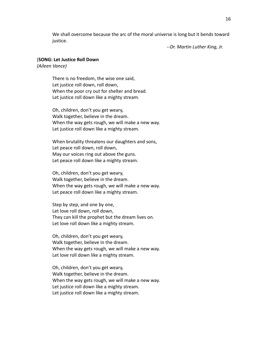We shall overcome because the arc of the moral universe is long but it bends toward justice.

*--Dr. Martin Luther King, Jr.*

#### (**SONG: Let Justice Roll Down**

*(Aileen Vance)*

There is no freedom, the wise one said, Let justice roll down, roll down, When the poor cry out for shelter and bread. Let justice roll down like a mighty stream.

Oh, children, don't you get weary, Walk together, believe in the dream. When the way gets rough, we will make a new way. Let justice roll down like a mighty stream.

When brutality threatens our daughters and sons, Let peace roll down, roll down, May our voices ring out above the guns. Let peace roll down like a mighty stream.

Oh, children, don't you get weary, Walk together, believe in the dream. When the way gets rough, we will make a new way. Let peace roll down like a mighty stream.

Step by step, and one by one, Let love roll down, roll down, They can kill the prophet but the dream lives on. Let love roll down like a mighty stream.

Oh, children, don't you get weary, Walk together, believe in the dream. When the way gets rough, we will make a new way. Let love roll down like a mighty stream.

Oh, children, don't you get weary, Walk together, believe in the dream. When the way gets rough, we will make a new way. Let justice roll down like a mighty stream. Let justice roll down like a mighty stream.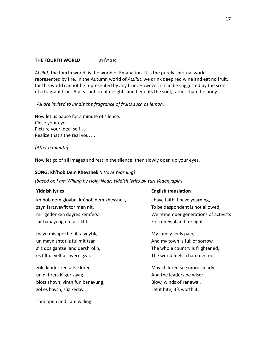# **EXELGATH WORLD KILL ASSES**

*Atzilut*, the fourth world, is the world of Emanation. It is the purely spiritual world represented by fire. In the Autumn world of *Atzilut*, we drink deep red wine and eat no fruit, for this world cannot be represented by any fruit. However, it can be suggested by the scent of a fragrant fruit. A pleasant scent delights and benefits the soul, rather than the body.

# *All are invited to inhale the fragrance of fruits such as lemon.*

Now let us pause for a minute of silence. Close your eyes. Picture your ideal self…. Realize that's the real you….

# *[After a minute]*

Now let go of all images and rest in the silence; then slowly open up your eyes.

# **SONG: Kh'hob Dem Kheyshek** *(I Have Yearning)*

*(based on I am Willing by Holly Near; Yiddish lyrics by Yuri Vedenyapin)*

#### **Yiddish lyrics English translation** kh'hob dem gloybn, kh'hob dem kheyshek, zayn fartsveyflt tor men nit, mir gedenken doyres kemfers far banayung un far likht. mayn mishpokhe filt a veytik, un mayn shtot iz ful mit tsar, s'iz dos gantse land dershrokn, es filt di velt a shvern gzar. zoln kinder zen alts klorer, un di firers kliger zayn; blozt shoyn, vintn fun banayung, zol es baysn, s'iz keday. I am open and I am willing I have faith, I have yearning, To be despondent is not allowed, We remember generations of activists For renewal and for light. My family feels pain, And my town is full of sorrow. The whole country is frightened, The world feels a hard decree. May children see more clearly And the leaders be wiser; Blow, winds of renewal, Let it bite, it's worth it.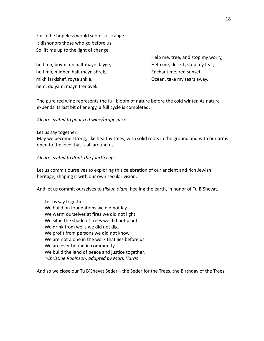For to be hopeless would seem so strange It dishonors those who go before us So lift me up to the light of change.

helf mir, boym, un halt mayn dayge, helf mir, midber, halt mayn shrek, mikh farkishef, royte shkie, nem, du yam, mayn trer avek.

Help me, tree, and stop my worry, Help me, desert, stop my fear, Enchant me, red sunset, Ocean, take my tears away.

The pure red wine represents the full bloom of nature before the cold winter. As nature expends its last bit of energy, a full cycle is completed.

*All are invited to pour red wine/grape juice.*

Let us say together:

May we become strong, like healthy trees, with solid roots in the ground and with our arms open to the love that is all around us.

*All are invited to drink the fourth cup.*

Let us commit ourselves to exploring this celebration of our ancient and rich Jewish heritage, shaping it with our own secular vision.

And let us commit ourselves to *tikkun olam*, healing the earth, in honor of Tu B'Shevat.

Let us say together: We build on foundations we did not lay. We warm ourselves at fires we did not light. We sit in the shade of trees we did not plant. We drink from wells we did not dig. We profit from persons we did not know. We are not alone in the work that lies before us. We are ever bound in community. We build the land of peace and justice together. *~Christine Robinson, adapted by Mark Harris*

And so we close our Tu B'Shevat Seder—the Seder for the Trees, the Birthday of the Trees.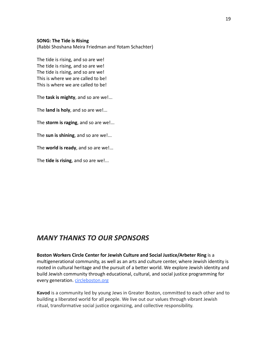#### **SONG: The Tide is Rising**

(Rabbi Shoshana Meira Friedman and Yotam Schachter)

The tide is rising, and so are we! The tide is rising, and so are we! The tide is rising, and so are we! This is where we are called to be! This is where we are called to be!

The **task is mighty**, and so are we!...

The **land is holy**, and so are we!...

The **storm is raging**, and so are we!...

The **sun is shining**, and so are we!...

The **world is ready**, and so are we!...

The **tide is rising**, and so are we!...

# *MANY THANKS TO OUR SPONSORS*

**Boston Workers Circle Center for Jewish Culture and Social Justice/Arbeter Ring** is a multigenerational community, as well as an arts and culture center, where Jewish identity is rooted in cultural heritage and the pursuit of a better world. We explore Jewish identity and build Jewish community through educational, cultural, and social justice programming for every generation. [circleboston.org](http://circleboston.org/)

**Kavod** is a community led by young Jews in Greater Boston, committed to each other and to building a liberated world for all people. We live out our values through vibrant Jewish ritual, transformative social justice organizing, and collective responsibility.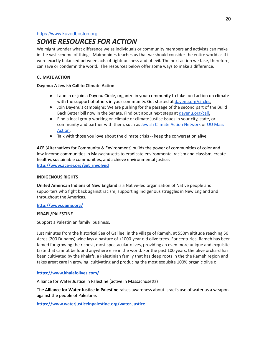# [https://www.kavodboston.org](https://www.kavodboston.org/)

# *SOME RESOURCES FOR ACTION*

We might wonder what difference we as individuals or community members and activists can make in the vast scheme of things. Maimonides teaches us that we should consider the entire world as if it were exactly balanced between acts of righteousness and of evil. The next action we take, therefore, can save or condemn the world. The resources below offer some ways to make a difference.

# **CLIMATE ACTION**

# **Dayenu: A Jewish Call to Climate Action**

- Launch or join a Dayenu Circle, organize in your community to take bold action on climate with the support of others in your community. Get started at [dayenu.org/circles.](http://dayenu.org/circles)
- Join Dayenu's campaigns: We are pushing for the passage of the second part of the Build Back Better bill now in the Senate. Find out about next steps at [dayenu.org/call.](http://dayenu.org/call)
- Find a local group working on climate or climate justice issues in your city, state, or community and partner with them, such as Jewish Climate Action [Network](https://www.jewishclimate.org/) or UU [Mass](https://www.uumassaction.org/) [Action.](https://www.uumassaction.org/)
- Talk with those you love about the climate crisis -- keep the conversation alive.

**ACE** (Alternatives for Community & Environment) builds the power of communities of color and low-income communities in Massachusetts to eradicate environmental racism and classism, create healthy, sustainable communities, and achieve environmental justice. **[http://www.ace-ej.org/get\\_involved](http://www.ace-ej.org/get_involved)**

#### **INDIGENOUS RIGHTS**

**United American Indians of New England** is a Native-led organization of Native people and supporters who fight back against racism, supporting Indigenous struggles in New England and throughout the Americas.

# **<http://www.uaine.org/>**

# **ISRAEL/PALESTINE**

Support a Palestinian family business.

Just minutes from the historical Sea of Galilee, in the village of Rameh, at 550m altitude reaching 50 Acres (200 Dunams) wide lays a pasture of +1000-year old olive trees. For centuries, Rameh has been famed for growing the richest, most spectacular olives, providing an even more unique and exquisite taste that cannot be found anywhere else in the world. For the past 100 years, the olive orchard has been cultivated by the Khalafs, a Palestinian family that has deep roots in the the Rameh region and takes great care in growing, cultivating and producing the most exquisite 100% organic olive oil.

# **<https://www.khalafolives.com/>**

Alliance for Water Justice in Palestine (active in Massachusetts)

The **Alliance for Water Justice in Palestine** raises awareness about Israel's use of water as a weapon against the people of Palestine.

# **<https://www.waterjusticeinpalestine.org/water-justice>**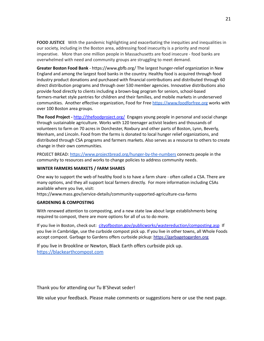**FOOD JUSTICE** With the pandemic highlighting and exacerbating the inequities and inequalities in our society, including in the Boston area, addressing food insecurity is a priority and moral imperative. More than one million people in Massachusetts are food insecure - food banks are overwhelmed with need and community groups are struggling to meet demand.

**Greater Boston Food Bank** - <https://www.gbfb.org/> The largest hunger-relief organization in New England and among the largest food banks in the country. Healthy food is acquired through food industry product donations and purchased with financial contributions and distributed through 60 direct distribution programs and through over 530 member agencies. Innovative distributions also provide food directly to clients including a brown-bag program for seniors, school-based farmers-market style pantries for children and their families, and mobile markets in underserved communities. Another effective organization, Food for Free [https://www.foodforfree.org](https://www.foodforfree.org/) works with over 100 Boston area groups.

**The Food Project -** <http://thefoodproject.org/> Engages young people in personal and social change through sustainable agriculture. Works with 120 teenager activist leaders and thousands of volunteers to farm on 70 acres in Dorchester, Roxbury and other parts of Boston, Lynn, Beverly, Wenham, and Lincoln. Food from the farms is donated to local hunger relief organizations, and distributed through CSA programs and farmers markets. Also serves as a resource to others to create change in their own communities.

PROJECT BREAD: <https://www.projectbread.org/hunger-by-the-numbers> connects people in the community to resources and works to change policies to address community needs.

#### **WINTER FARMERS MARKETS / FARM SHARES**

One way to support the web of healthy food is to have a farm share - often called a CSA. There are many options, and they all support local farmers directly. For more information including CSAs available where you live, visit:

https://www.mass.gov/service-details/community-supported-agriculture-csa-farms

#### **GARDENING & COMPOSTING**

With renewed attention to composting, and a new state law about large establishments being required to compost, there are more options for all of us to do more.

If you live in Boston, check out: [cityofboston.gov/publicworks/wastereduction/composting.asp](http://www.cityofboston.gov/publicworks/wastereduction/composting.asp) If you live in Cambridge, use the curbside compost pick up. If you live in other towns, all Whole Foods accept compost. Garbage to Gardens offers curbside pickup: [https://garbagetogarden.org](https://garbagetogarden.org/)

If you live in Brookline or Newton, Black Earth offers curbside pick up. <https://blackearthcompost.com>

Thank you for attending our Tu B'Shevat seder!

We value your feedback. Please make comments or suggestions here or use the next page.